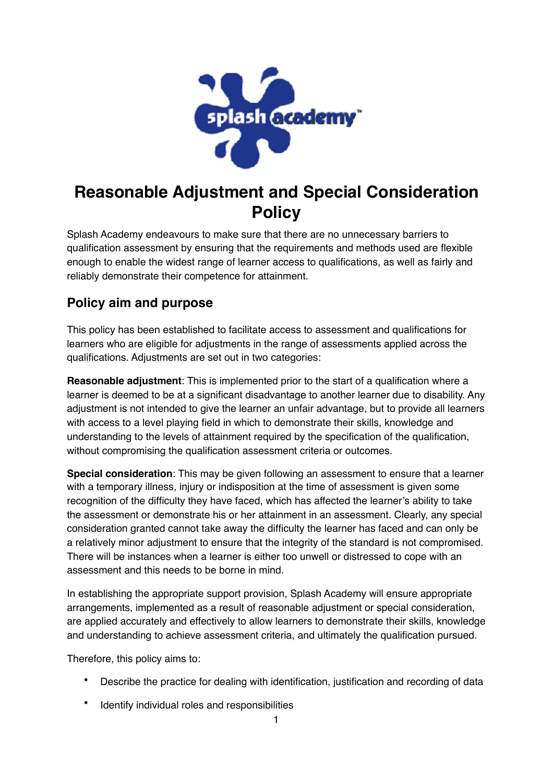

# **Reasonable Adjustment and Special Consideration Policy**

Splash Academy endeavours to make sure that there are no unnecessary barriers to qualification assessment by ensuring that the requirements and methods used are flexible enough to enable the widest range of learner access to qualifications, as well as fairly and reliably demonstrate their competence for attainment.

# **Policy aim and purpose**

This policy has been established to facilitate access to assessment and qualifications for learners who are eligible for adjustments in the range of assessments applied across the qualifications. Adjustments are set out in two categories:

**Reasonable adjustment**: This is implemented prior to the start of a qualification where a learner is deemed to be at a significant disadvantage to another learner due to disability. Any adjustment is not intended to give the learner an unfair advantage, but to provide all learners with access to a level playing field in which to demonstrate their skills, knowledge and understanding to the levels of attainment required by the specification of the qualification, without compromising the qualification assessment criteria or outcomes.

**Special consideration**: This may be given following an assessment to ensure that a learner with a temporary illness, injury or indisposition at the time of assessment is given some recognition of the difficulty they have faced, which has affected the learner's ability to take the assessment or demonstrate his or her attainment in an assessment. Clearly, any special consideration granted cannot take away the difficulty the learner has faced and can only be a relatively minor adjustment to ensure that the integrity of the standard is not compromised. There will be instances when a learner is either too unwell or distressed to cope with an assessment and this needs to be borne in mind.

In establishing the appropriate support provision, Splash Academy will ensure appropriate arrangements, implemented as a result of reasonable adjustment or special consideration, are applied accurately and effectively to allow learners to demonstrate their skills, knowledge and understanding to achieve assessment criteria, and ultimately the qualification pursued.

Therefore, this policy aims to:

- Describe the practice for dealing with identification, justification and recording of data
- Identify individual roles and responsibilities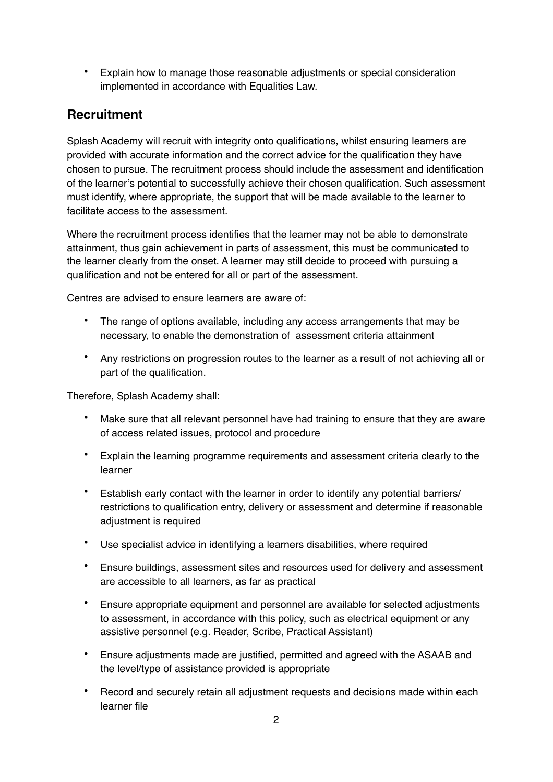• Explain how to manage those reasonable adjustments or special consideration implemented in accordance with Equalities Law.

## **Recruitment**

Splash Academy will recruit with integrity onto qualifications, whilst ensuring learners are provided with accurate information and the correct advice for the qualification they have chosen to pursue. The recruitment process should include the assessment and identification of the learner's potential to successfully achieve their chosen qualification. Such assessment must identify, where appropriate, the support that will be made available to the learner to facilitate access to the assessment.

Where the recruitment process identifies that the learner may not be able to demonstrate attainment, thus gain achievement in parts of assessment, this must be communicated to the learner clearly from the onset. A learner may still decide to proceed with pursuing a qualification and not be entered for all or part of the assessment.

Centres are advised to ensure learners are aware of:

- The range of options available, including any access arrangements that may be necessary, to enable the demonstration of assessment criteria attainment
- Any restrictions on progression routes to the learner as a result of not achieving all or part of the qualification.

Therefore, Splash Academy shall:

- Make sure that all relevant personnel have had training to ensure that they are aware of access related issues, protocol and procedure
- Explain the learning programme requirements and assessment criteria clearly to the learner
- Establish early contact with the learner in order to identify any potential barriers/ restrictions to qualification entry, delivery or assessment and determine if reasonable adjustment is required
- Use specialist advice in identifying a learners disabilities, where required
- Ensure buildings, assessment sites and resources used for delivery and assessment are accessible to all learners, as far as practical
- Ensure appropriate equipment and personnel are available for selected adjustments to assessment, in accordance with this policy, such as electrical equipment or any assistive personnel (e.g. Reader, Scribe, Practical Assistant)
- Ensure adjustments made are justified, permitted and agreed with the ASAAB and the level/type of assistance provided is appropriate
- Record and securely retain all adjustment requests and decisions made within each learner file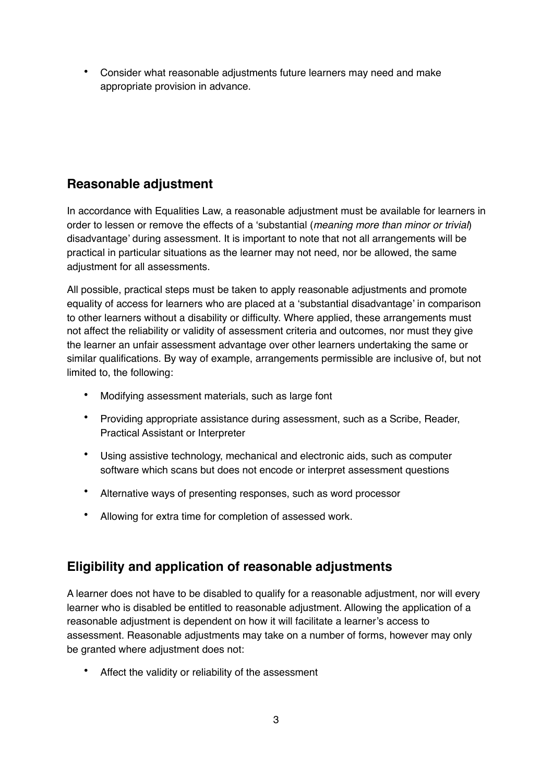• Consider what reasonable adjustments future learners may need and make appropriate provision in advance.

#### **Reasonable adjustment**

In accordance with Equalities Law, a reasonable adjustment must be available for learners in order to lessen or remove the effects of a 'substantial (*meaning more than minor or trivial*) disadvantage' during assessment. It is important to note that not all arrangements will be practical in particular situations as the learner may not need, nor be allowed, the same adjustment for all assessments.

All possible, practical steps must be taken to apply reasonable adjustments and promote equality of access for learners who are placed at a 'substantial disadvantage' in comparison to other learners without a disability or difficulty. Where applied, these arrangements must not affect the reliability or validity of assessment criteria and outcomes, nor must they give the learner an unfair assessment advantage over other learners undertaking the same or similar qualifications. By way of example, arrangements permissible are inclusive of, but not limited to, the following:

- Modifying assessment materials, such as large font
- Providing appropriate assistance during assessment, such as a Scribe, Reader, Practical Assistant or Interpreter
- Using assistive technology, mechanical and electronic aids, such as computer software which scans but does not encode or interpret assessment questions
- Alternative ways of presenting responses, such as word processor
- Allowing for extra time for completion of assessed work.

#### **Eligibility and application of reasonable adjustments**

A learner does not have to be disabled to qualify for a reasonable adjustment, nor will every learner who is disabled be entitled to reasonable adjustment. Allowing the application of a reasonable adjustment is dependent on how it will facilitate a learner's access to assessment. Reasonable adjustments may take on a number of forms, however may only be granted where adjustment does not:

Affect the validity or reliability of the assessment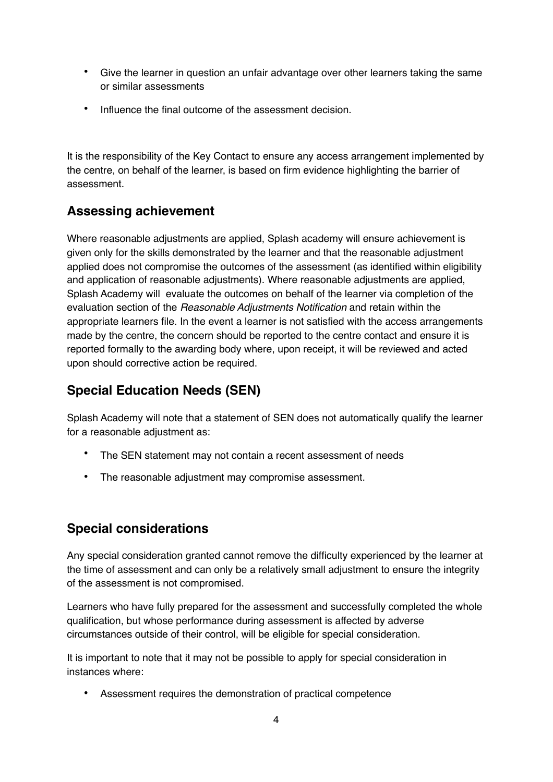- Give the learner in question an unfair advantage over other learners taking the same or similar assessments
- Influence the final outcome of the assessment decision.

It is the responsibility of the Key Contact to ensure any access arrangement implemented by the centre, on behalf of the learner, is based on firm evidence highlighting the barrier of assessment.

#### **Assessing achievement**

Where reasonable adjustments are applied, Splash academy will ensure achievement is given only for the skills demonstrated by the learner and that the reasonable adjustment applied does not compromise the outcomes of the assessment (as identified within eligibility and application of reasonable adjustments). Where reasonable adjustments are applied, Splash Academy will evaluate the outcomes on behalf of the learner via completion of the evaluation section of the *Reasonable Adjustments Notification* and retain within the appropriate learners file. In the event a learner is not satisfied with the access arrangements made by the centre, the concern should be reported to the centre contact and ensure it is reported formally to the awarding body where, upon receipt, it will be reviewed and acted upon should corrective action be required.

## **Special Education Needs (SEN)**

Splash Academy will note that a statement of SEN does not automatically qualify the learner for a reasonable adjustment as:

- The SEN statement may not contain a recent assessment of needs
- The reasonable adjustment may compromise assessment.

# **Special considerations**

Any special consideration granted cannot remove the difficulty experienced by the learner at the time of assessment and can only be a relatively small adjustment to ensure the integrity of the assessment is not compromised.

Learners who have fully prepared for the assessment and successfully completed the whole qualification, but whose performance during assessment is affected by adverse circumstances outside of their control, will be eligible for special consideration.

It is important to note that it may not be possible to apply for special consideration in instances where:

• Assessment requires the demonstration of practical competence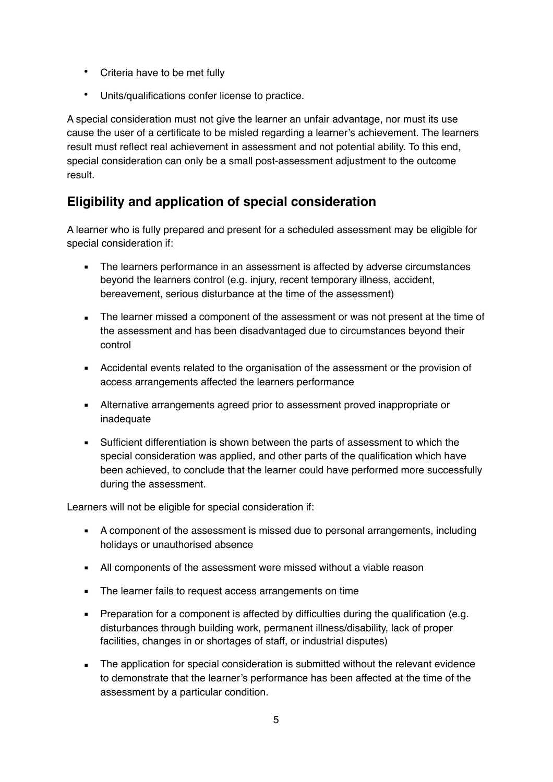- Criteria have to be met fully
- Units/qualifications confer license to practice.

A special consideration must not give the learner an unfair advantage, nor must its use cause the user of a certificate to be misled regarding a learner's achievement. The learners result must reflect real achievement in assessment and not potential ability. To this end, special consideration can only be a small post-assessment adjustment to the outcome result.

# **Eligibility and application of special consideration**

A learner who is fully prepared and present for a scheduled assessment may be eligible for special consideration if:

- The learners performance in an assessment is affected by adverse circumstances beyond the learners control (e.g. injury, recent temporary illness, accident, bereavement, serious disturbance at the time of the assessment)
- **The learner missed a component of the assessment or was not present at the time of** the assessment and has been disadvantaged due to circumstances beyond their control
- Accidental events related to the organisation of the assessment or the provision of access arrangements affected the learners performance
- Alternative arrangements agreed prior to assessment proved inappropriate or inadequate
- Sufficient differentiation is shown between the parts of assessment to which the special consideration was applied, and other parts of the qualification which have been achieved, to conclude that the learner could have performed more successfully during the assessment.

Learners will not be eligible for special consideration if:

- A component of the assessment is missed due to personal arrangements, including holidays or unauthorised absence
- All components of the assessment were missed without a viable reason
- The learner fails to request access arrangements on time
- **•** Preparation for a component is affected by difficulties during the qualification (e.g. disturbances through building work, permanent illness/disability, lack of proper facilities, changes in or shortages of staff, or industrial disputes)
- The application for special consideration is submitted without the relevant evidence to demonstrate that the learner's performance has been affected at the time of the assessment by a particular condition.